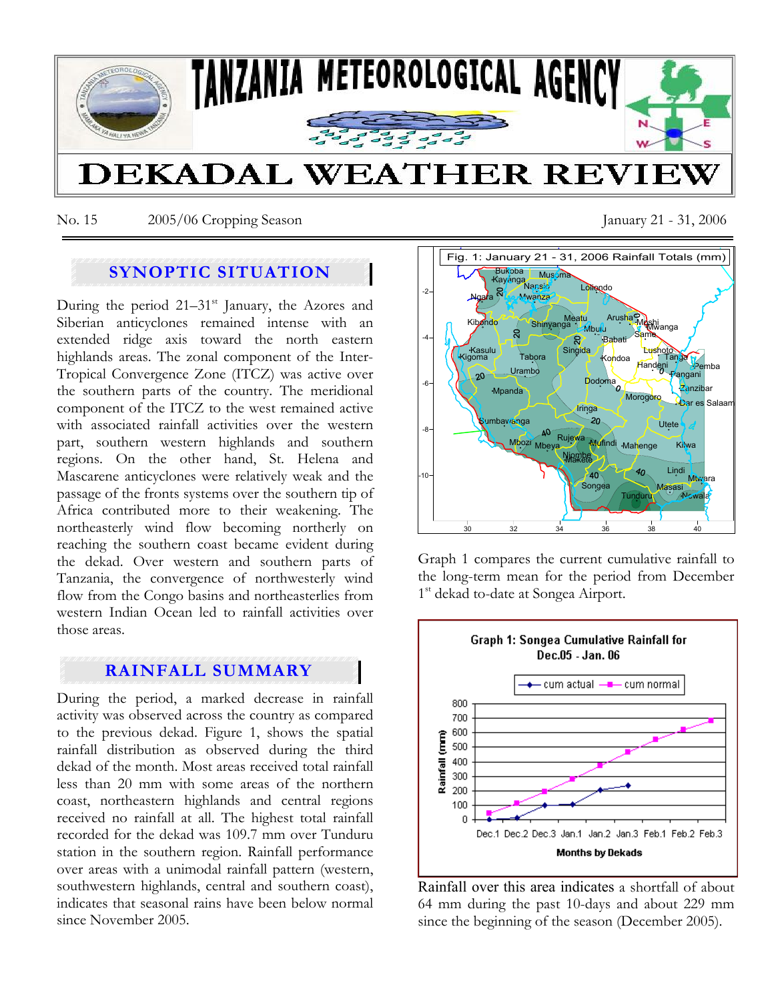

No. 15 2005/06 Cropping Season January 21 - 31, 2006

# **SYNOPTIC SITUATION**

During the period  $21-31<sup>st</sup>$  January, the Azores and Siberian anticyclones remained intense with an extended ridge axis toward the north eastern highlands areas. The zonal component of the Inter-Tropical Convergence Zone (ITCZ) was active over the southern parts of the country. The meridional component of the ITCZ to the west remained active with associated rainfall activities over the western part, southern western highlands and southern regions. On the other hand, St. Helena and Mascarene anticyclones were relatively weak and the passage of the fronts systems over the southern tip of Africa contributed more to their weakening. The northeasterly wind flow becoming northerly on reaching the southern coast became evident during the dekad. Over western and southern parts of Tanzania, the convergence of northwesterly wind flow from the Congo basins and northeasterlies from western Indian Ocean led to rainfall activities over those areas.

# **RAINFALL SUMMARY**

During the period, a marked decrease in rainfall activity was observed across the country as compared to the previous dekad. Figure 1, shows the spatial rainfall distribution as observed during the third dekad of the month. Most areas received total rainfall less than 20 mm with some areas of the northern coast, northeastern highlands and central regions received no rainfall at all. The highest total rainfall recorded for the dekad was 109.7 mm over Tunduru station in the southern region. Rainfall performance over areas with a unimodal rainfall pattern (western, southwestern highlands, central and southern coast), indicates that seasonal rains have been below normal since November 2005.



Graph 1 compares the current cumulative rainfall to the long-term mean for the period from December 1<sup>st</sup> dekad to-date at Songea Airport.



Rainfall over this area indicates a shortfall of about 64 mm during the past 10-days and about 229 mm since the beginning of the season (December 2005).